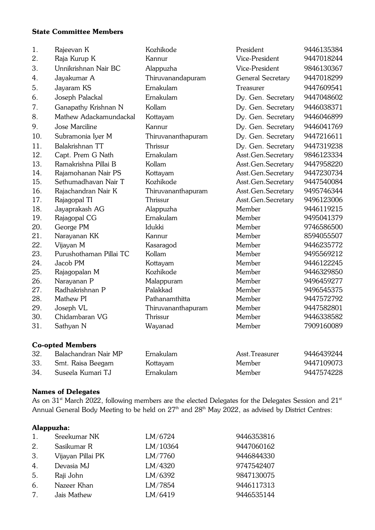# State Committee Members

| 1.  | Rajeevan K              | Kozhikode          | President                | 9446135384 |
|-----|-------------------------|--------------------|--------------------------|------------|
| 2.  | Raja Kurup K            | Kannur             | Vice-President           | 9447018244 |
| 3.  | Unnikrishnan Nair BC    | Alappuzha          | Vice-President           | 9846130367 |
| 4.  | Jayakumar A             | Thiruvanandapuram  | <b>General Secretary</b> | 9447018299 |
| 5.  | Jayaram KS              | Ernakulam          | Treasurer                | 9447609541 |
| 6.  | Joseph Palackal         | Ernakulam          | Dy. Gen. Secretary       | 9447048602 |
| 7.  | Ganapathy Krishnan N    | Kollam             | Dy. Gen. Secretary       | 9446038371 |
| 8.  | Mathew Adackamundackal  | Kottayam           | Dy. Gen. Secretary       | 9446046899 |
| 9.  | Jose Marciline          | Kannur             | Dy. Gen. Secretary       | 9446041769 |
| 10. | Subramonia Iyer M       | Thiruvananthapuram | Dy. Gen. Secretary       | 9447216611 |
| 11. | Balakrishnan TT         | Thrissur           | Dy. Gen. Secretary       | 9447319238 |
| 12. | Capt. Prem G Nath       | Ernakulam          | Asst.Gen.Secretary       | 9846123334 |
| 13. | Ramakrishna Pillai B    | Kollam             | Asst.Gen.Secretary       | 9447958220 |
| 14. | Rajamohanan Nair PS     | Kottayam           | Asst.Gen.Secretary       | 9447230734 |
| 15. | Sethumadhavan Nair T    | Kozhikode          | Asst.Gen.Secretary       | 9447540084 |
| 16. | Rajachandran Nair K     | Thiruvananthapuram | Asst.Gen.Secretary       | 9495746344 |
| 17. | Rajagopal TI            | Thrissur           | Asst.Gen.Secretary       | 9496123006 |
| 18. | Jayaprakash AG          | Alappuzha          | Member                   | 9446119215 |
| 19. | Rajagopal CG            | Ernakulam          | Member                   | 9495041379 |
| 20. | George PM               | Idukki             | Member                   | 9746586500 |
| 21. | Narayanan KK            | Kannur             | Member                   | 8594055507 |
| 22. | Vijayan M               | Kasaragod          | Member                   | 9446235772 |
| 23. | Purushothaman Pillai TC | Kollam             | Member                   | 9495569212 |
| 24. | Jacob PM                | Kottayam           | Member                   | 9446122245 |
| 25. | Rajagopalan M           | Kozhikode          | Member                   | 9446329850 |
| 26. | Narayanan P             | Malappuram         | Member                   | 9496459277 |
| 27. | Radhakrishnan P         | Palakkad           | Member                   | 9496545375 |
| 28. | Mathew PI               | Pathanamthitta     | Member                   | 9447572792 |
| 29. | Joseph VL               | Thiruvananthapuram | Member                   | 9447582801 |
| 30. | Chidambaran VG          | Thrissur           | Member                   | 9446338582 |
| 31  | Sathyan N               | Wayanad            | Member                   | 7909160089 |
|     | <b>Co-opted Members</b> |                    |                          |            |
| 32. | Balachandran Nair MP    | Ernakulam          | Asst. Treasurer          | 9446439244 |
| 33. | Smt. Raisa Beegam       | Kottayam           | Member                   | 9447109073 |
| 34. | Suseela Kumari TJ       | Ernakulam          | Member                   | 9447574228 |

### Names of Delegates

As on 31<sup>st</sup> March 2022, following members are the elected Delegates for the Delegates Session and 21<sup>st</sup> Annual General Body Meeting to be held on 27<sup>th</sup> and 28<sup>th</sup> May 2022, as advised by District Centres:

### Alappuzha:

| 1. | Sreekumar NK      | LM/6724  | 9446353816 |
|----|-------------------|----------|------------|
| 2. | Sasikumar R       | LM/10364 | 9447060162 |
| 3. | Vijayan Pillai PK | LM/7760  | 9446844330 |
| 4. | Devasia MJ        | LM/4320  | 9747542407 |
| 5. | Raji John         | LM/6392  | 9847130075 |
| 6. | Nazeer Khan       | LM/7854  | 9446117313 |
| 7. | Jais Mathew       | LM/6419  | 9446535144 |
|    |                   |          |            |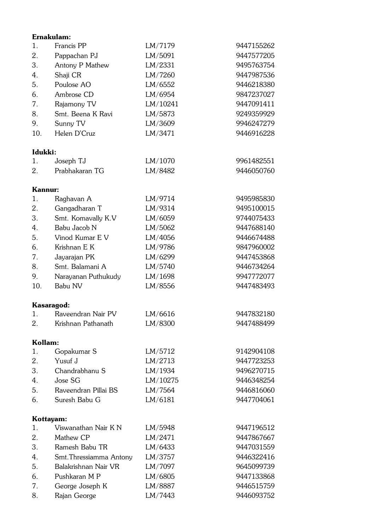|                | Ernakulam:              |          |            |
|----------------|-------------------------|----------|------------|
| 1.             | Francis PP              | LM/7179  | 9447155262 |
| 2.             | Pappachan PJ            | LM/5091  | 9447577205 |
| 3.             | Antony P Mathew         | LM/2331  | 9495763754 |
| 4.             | Shaji CR                | LM/7260  | 9447987536 |
| 5.             | Poulose AO              | LM/6552  | 9446218380 |
| 6.             | Ambrose CD              | LM/6954  | 9847237027 |
| 7.             | Rajamony TV             | LM/10241 | 9447091411 |
| 8.             | Smt. Beena K Ravi       | LM/5873  | 9249359929 |
| 9.             | Sunny TV                | LM/3609  | 9946247279 |
| 10.            | Helen D'Cruz            | LM/3471  | 9446916228 |
| Idukki:        |                         |          |            |
| 1.             | Joseph TJ               | LM/1070  | 9961482551 |
| 2.             | Prabhakaran TG          | LM/8482  | 9446050760 |
| <b>Kannur:</b> |                         |          |            |
| 1.             | Raghavan A              | LM/9714  | 9495985830 |
| 2.             | Gangadharan T           | LM/9314  | 9495100015 |
| 3.             | Smt. Komavally K.V      | LM/6059  | 9744075433 |
| 4.             | Babu Jacob N            | LM/5062  | 9447688140 |
| 5.             | Vinod Kumar E V         | LM/4056  | 9446674488 |
| 6.             | Krishnan E K            | LM/9786  | 9847960002 |
| 7.             | Jayarajan PK            | LM/6299  | 9447453868 |
| 8.             | Smt. Balamani A         | LM/5740  | 9446734264 |
| 9.             | Narayanan Puthukudy     | LM/1698  | 9947772077 |
| 10.            | Babu NV                 | LM/8556  | 9447483493 |
|                | Kasaragod:              |          |            |
| 1.             | Raveendran Nair PV      | LM/6616  | 9447832180 |
| 2.             | Krishnan Pathanath      | LM/8300  | 9447488499 |
| Kollam:        |                         |          |            |
| 1.             | Gopakumar S             | LM/5712  | 9142904108 |
| 2.             | Yusuf J                 | LM/2713  | 9447723253 |
| 3.             | Chandrabhanu S          | LM/1934  | 9496270715 |
| 4.             | Jose SG                 | LM/10275 | 9446348254 |
| 5.             | Raveendran Pillai BS    | LM/7564  | 9446816060 |
| 6.             | Suresh Babu G           | LM/6181  | 9447704061 |
|                | Kottayam:               |          |            |
| 1.             | Viswanathan Nair K N    | LM/5948  | 9447196512 |
| 2.             | Mathew CP               | LM/2471  | 9447867667 |
| 3.             | Ramesh Babu TR          | LM/6433  | 9447031559 |
| 4.             | Smt. Thressiamma Antony | LM/3757  | 9446322416 |
| 5.             | Balakrishnan Nair VR    | LM/7097  | 9645099739 |
| 6.             | Pushkaran M P           | LM/6805  | 9447133868 |
| 7.             | George Joseph K         | LM/8887  | 9446515759 |
| 8.             | Rajan George            | LM/7443  | 9446093752 |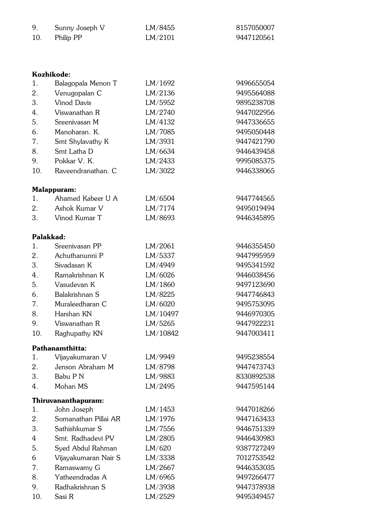| 9.       |                               | LM/8455            | 8157050007               |
|----------|-------------------------------|--------------------|--------------------------|
| 10.      | Sunny Joseph V                | LM/2101            | 9447120561               |
|          | Philip PP                     |                    |                          |
|          |                               |                    |                          |
|          |                               |                    |                          |
|          | Kozhikode:                    |                    |                          |
| 1.       | Balagopala Menon T            | LM/1692            | 9496655054               |
| 2.       | Venugopalan C                 | LM/2136            | 9495564088               |
| 3.       | <b>Vinod Davis</b>            | LM/5952            | 9895238708               |
| 4.       | Viswanathan R                 | LM/2740            | 9447022956               |
| 5.       | Sreenivasan M                 | LM/4132            | 9447336655               |
| 6.       | Manoharan, K.                 | LM/7085            | 9495050448               |
| 7.       | Smt Shylavathy K              | LM/3931            | 9447421790               |
| 8.       | Smt Latha D                   | LM/6634            | 9446439458               |
| 9.       | Pokkar V. K.                  | LM/2433            | 9995085375               |
| 10.      | Raveendranathan. C            | LM/3022            | 9446338065               |
|          |                               |                    |                          |
|          | <b>Malappuram:</b>            |                    |                          |
| 1.       | Ahamed Kabeer U A             | LM/6504            | 9447744565               |
| 2.       | Ashok Kumar V                 | LM/7174            | 9495019494               |
| 3.       | Vinod Kumar T                 | LM/8693            | 9446345895               |
|          |                               |                    |                          |
|          | Palakkad:<br>Sreenivasan PP   |                    |                          |
| 1.<br>2. | Achuthanunni P                | LM/2061            | 9446355450               |
| 3.       |                               | LM/5337            | 9447995959               |
| 4.       | Sivadasan K<br>Ramakrishnan K | LM/4949            | 9495341592<br>9446038456 |
| 5.       | Vasudevan K                   | LM/6026<br>LM/1860 | 9497123690               |
| 6.       | Balakrishnan S                | LM/8225            | 9447746843               |
|          |                               |                    |                          |

| 7.               | Muraleedharan C  | LM/6020  | 9495753095 |
|------------------|------------------|----------|------------|
| 8.               | Harshan KN       | LM/10497 | 9446970305 |
| 9.               | Viswanathan R    | LM/5265  | 9447922231 |
| 10.              | Raghupathy KN    | LM/10842 | 9447003411 |
|                  | Pathanamthitta:  |          |            |
| 1.               | Vijayakumaran V  | LM/9949  | 9495238554 |
| 2.               | Jenson Abraham M | LM/8798  | 9447473743 |
| 3.               | Babu P N         | LM/9883  | 8330892538 |
| $\overline{4}$ . | Mohan MS         | LM/2495  | 9447595144 |

# Thiruvananthapuram:

| 1.  | John Joseph          | LM/1453 | 9447018266 |
|-----|----------------------|---------|------------|
| 2.  | Somanathan Pillai AR | LM/1976 | 9447163433 |
| 3.  | Sathishkumar S       | LM/7556 | 9446751339 |
| 4   | Smt. Radhadevi PV    | LM/2805 | 9446430983 |
| 5.  | Syed Abdul Rahman    | LM/620  | 9387727249 |
| 6   | Vijayakumaran Nair S | LM/3338 | 7012753542 |
| 7.  | Ramaswamy G          | LM/2667 | 9446353035 |
| 8.  | Yatheendradas A      | LM/6965 | 9497266477 |
| 9.  | Radhakrishnan S      | LM/3938 | 9447378938 |
| 10. | Sasi R               | LM/2529 | 9495349457 |
|     |                      |         |            |